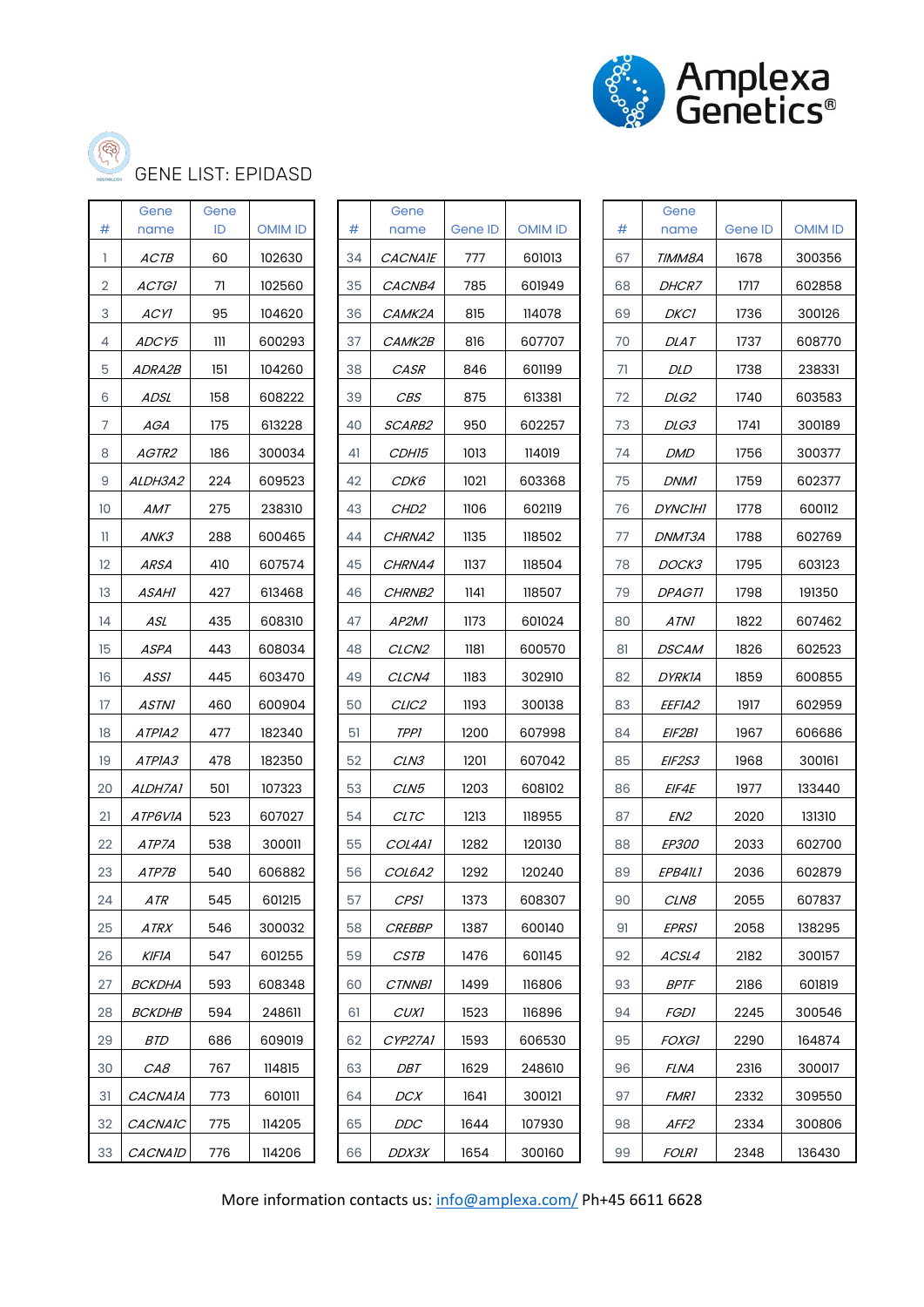



GENE LIST: EPIDASD

| #  | Gene<br>name   | Gene<br>ID | <b>OMIM ID</b> | #  | Gene<br>name       | Gene ID | <b>OMIM ID</b> | #  | Gene<br>name     | Gene ID | <b>OMIM ID</b> |
|----|----------------|------------|----------------|----|--------------------|---------|----------------|----|------------------|---------|----------------|
| 1  | ACTB           | 60         | 102630         | 34 | <b>CACNAIE</b>     | 777     | 601013         | 67 | TIMM8A           | 1678    | 300356         |
| 2  | <b>ACTGI</b>   | 71         | 102560         | 35 | CACNB4             | 785     | 601949         | 68 | <b>DHCR7</b>     | 1717    | 602858         |
| 3  | <b>ACYI</b>    | 95         | 104620         | 36 | CAMK2A             | 815     | 114078         | 69 | <b>DKC1</b>      | 1736    | 300126         |
| 4  | ADCY5          | Ш          | 600293         | 37 | CAMK2B             | 816     | 607707         | 70 | <i>DLAT</i>      | 1737    | 608770         |
| 5  | <i>ADRA2B</i>  | 151        | 104260         | 38 | CASR               | 846     | 601199         | 71 | <b>DLD</b>       | 1738    | 238331         |
| 6  | ADSL           | 158        | 608222         | 39 | <b>CBS</b>         | 875     | 613381         | 72 | DLG <sub>2</sub> | 1740    | 603583         |
| 7  | AGA            | 175        | 613228         | 40 | SCARB2             | 950     | 602257         | 73 | DLG3             | 1741    | 300189         |
| 8  | AGTR2          | 186        | 300034         | 41 | CDH15              | 1013    | 114019         | 74 | <b>DMD</b>       | 1756    | 300377         |
| 9  | ALDH3A2        | 224        | 609523         | 42 | СDК6               | 1021    | 603368         | 75 | <b>DNM1</b>      | 1759    | 602377         |
| 10 | AMT            | 275        | 238310         | 43 | CHD <sub>2</sub>   | 1106    | 602119         | 76 | <b>DYNCIHI</b>   | 1778    | 600112         |
| H  | ANK3           | 288        | 600465         | 44 | CHRNA2             | 1135    | 118502         | 77 | DNMT3A           | 1788    | 602769         |
| 12 | ARSA           | 410        | 607574         | 45 | CHRNA4             | 1137    | 118504         | 78 | DOCK3            | 1795    | 603123         |
| 13 | ASAHI          | 427        | 613468         | 46 | CHRNB <sub>2</sub> | 1141    | 118507         | 79 | <i>DPAGTI</i>    | 1798    | 191350         |
| 14 | ASL            | 435        | 608310         | 47 | AP <sub>2M1</sub>  | 1173    | 601024         | 80 | ATNI             | 1822    | 607462         |
| 15 | <b>ASPA</b>    | 443        | 608034         | 48 | CLCN <sub>2</sub>  | 1181    | 600570         | 81 | DSCAM            | 1826    | 602523         |
| 16 | ASSI           | 445        | 603470         | 49 | CLCN4              | 1183    | 302910         | 82 | <b>DYRKIA</b>    | 1859    | 600855         |
| 17 | <b>ASTNI</b>   | 460        | 600904         | 50 | CLIC <sub>2</sub>  | 1193    | 300138         | 83 | <i>EEFIA2</i>    | 1917    | 602959         |
| 18 | ATPIA2         | 477        | 182340         | 51 | <b>TPPI</b>        | 1200    | 607998         | 84 | <i>EIF2B1</i>    | 1967    | 606686         |
| 19 | ATPIA3         | 478        | 182350         | 52 | CLN3               | 1201    | 607042         | 85 | EIF2S3           | 1968    | 300161         |
| 20 | ALDH7A1        | 501        | 107323         | 53 | CLN5               | 1203    | 608102         | 86 | EIF4E            | 1977    | 133440         |
| 21 | ATP6VIA        | 523        | 607027         | 54 | <b>CLTC</b>        | 1213    | 118955         | 87 | EN <sub>2</sub>  | 2020    | 131310         |
| 22 | ATP7A          | 538        | 300011         | 55 | COL4A1             | 1282    | 120130         | 88 | <i>EP300</i>     | 2033    | 602700         |
| 23 | ATP7B          | 540        | 606882         | 56 | <i>COL6A2</i>      | 1292    | 120240         | 89 | EPB41L1          | 2036    | 602879         |
| 24 | ATR            | 545        | 601215         | 57 | <b>CPS1</b>        | 1373    | 608307         | 90 | CLN8             | 2055    | 607837         |
| 25 | ATRX           | 546        | 300032         | 58 | <b>CREBBP</b>      | 1387    | 600140         | 91 | <b>EPRS1</b>     | 2058    | 138295         |
| 26 | KIFIA          | 547        | 601255         | 59 | <b>CSTB</b>        | 1476    | 601145         | 92 | ACSL4            | 2182    | 300157         |
| 27 | <b>BCKDHA</b>  | 593        | 608348         | 60 | <i>CTNNB1</i>      | 1499    | 116806         | 93 | <b>BPTF</b>      | 2186    | 601819         |
| 28 | <b>BCKDHB</b>  | 594        | 248611         | 61 | <b>CUXI</b>        | 1523    | 116896         | 94 | <b>FGDI</b>      | 2245    | 300546         |
| 29 | <b>BTD</b>     | 686        | 609019         | 62 | CYP27A1            | 1593    | 606530         | 95 | <b>FOXGI</b>     | 2290    | 164874         |
| 30 | CAB            | 767        | 114815         | 63 | DBT                | 1629    | 248610         | 96 | <b>FLNA</b>      | 2316    | 300017         |
| 31 | <b>CACNAIA</b> | 773        | 601011         | 64 | DCX                | 1641    | 300121         | 97 | <i>FMR1</i>      | 2332    | 309550         |
| 32 | CACNAIC        | 775        | 114205         | 65 | DDC                | 1644    | 107930         | 98 | AFF <sub>2</sub> | 2334    | 300806         |
| 33 | <b>CACNAID</b> | 776        | 114206         | 66 | DDX3X              | 1654    | 300160         | 99 | <b>FOLRI</b>     | 2348    | 136430         |

| #  | Gene<br>name   | Gene ID | <b>OMIM ID</b> | #  |
|----|----------------|---------|----------------|----|
| 34 | <i>CACNAIE</i> | 777     | 601013         | 67 |
| 35 | <i>CACNB4</i>  | 785     | 601949         | 68 |
| 36 | <i>CAMK2A</i>  | 815     | 114078         | 69 |
| 37 | САМК2В         | 816     | 607707         | 70 |
| 38 | <i>CASR</i>    | 846     | 601199         | 71 |
| 39 | CBS            | 875     | 613381         | 72 |
| 40 | <i>SCARB2</i>  | 950     | 602257         | 73 |
| 41 | <i>CDH15</i>   | 1013    | 114019         | 74 |
| 42 | СDК6           | 1021    | 603368         | 75 |
| 43 | <i>CHD2</i>    | 1106    | 602119         | 76 |
| 44 | <i>CHRNA2</i>  | 1135    | 118502         | 77 |
| 45 | <i>CHRNA4</i>  | 1137    | 118504         | 7٤ |
| 46 | <i>CHRNB2</i>  | 1141    | 118507         | 79 |
| 47 | <i>AP2MI</i>   | 1173    | 601024         | 80 |
| 48 | <i>CLCN2</i>   | 1181    | 600570         | 81 |
| 49 | <i>CLCN4</i>   | 1183    | 302910         | 82 |
| 50 | <i>CLIC2</i>   | 1193    | 300138         | 83 |
| 51 | TPPI           | 1200    | 607998         | 84 |
| 52 | <i>CLN3</i>    | 1201    | 607042         | 85 |
| 53 | <i>CLN5</i>    | 1203    | 608102         | 86 |
| 54 | CLTC           | 1213    | 118955         | 87 |
| 55 | COL4A1         | 1282    | 120130         | 88 |
| 56 | <i>COL6A2</i>  | 1292    | 120240         | 89 |
| 57 | CPS1           | 1373    | 608307         | 90 |
| 58 | <i>CREBBP</i>  | 1387    | 600140         | 91 |
| 59 | CSTB           | 1476    | 601145         | 92 |
| 60 | <b>CTNNB1</b>  | 1499    | 116806         | 93 |
| 61 | CUXI           | 1523    | 116896         | 94 |
| 62 | CYP27A1        | 1593    | 606530         | 95 |
| 63 | DBT            | 1629    | 248610         | 96 |
| 64 | <i>DCX</i>     | 1641    | 300121         | 97 |
| 65 | <i>DDC</i>     | 1644    | 107930         | 98 |
| 66 | <i>DDX3X</i>   | 1654    | 300160         | 99 |

| #  | Gene<br>name   | Gene ID | <b>OMIM ID</b> |  |  |
|----|----------------|---------|----------------|--|--|
| 67 | TIMM8A         | 1678    | 300356         |  |  |
| 68 | <i>DHCR7</i>   | 1717    | 602858         |  |  |
| 69 | DKCI           | 1736    | 300126         |  |  |
| 70 | DLAT           | 1737    | 608770         |  |  |
| 71 | DLD            | 1738    | 238331         |  |  |
| 72 | <i>DLG2</i>    | 1740    | 603583         |  |  |
| 73 | <i>DLG3</i>    | 1741    | 300189         |  |  |
| 74 | <i>DMD</i>     | 1756    | 300377         |  |  |
| 75 | DNMI           | 1759    | 602377         |  |  |
| 76 | <i>DYNCIHI</i> | 1778    | 600112         |  |  |
| 77 | DNMT3A         | 1788    | 602769         |  |  |
| 78 | <i>DOCK3</i>   | 1795    | 603123         |  |  |
| 79 | <i>DPAGTI</i>  | 1798    | 191350         |  |  |
| 80 | ATNI           | 1822    | 607462         |  |  |
| 81 | <i>DSCAM</i>   | 1826    | 602523         |  |  |
| 82 | DYRKIA         | 1859    | 600855         |  |  |
| 83 | <i>EEFIA2</i>  | 1917    | 602959         |  |  |
| 84 | <i>EIF2BI</i>  | 1967    | 606686         |  |  |
| 85 | <i>EIF2S3</i>  | 1968    | 300161         |  |  |
| 86 | <i>EIF4E</i>   | 1977    | 133440         |  |  |
| 87 | EN2            | 2020    | 131310         |  |  |
| 88 | <i>EP300</i>   | 2033    | 602700         |  |  |
| 89 | <i>EPB41L1</i> | 2036    | 602879         |  |  |
| 90 | CLN8           | 2055    | 607837         |  |  |
| 91 | <i>EPRS1</i>   | 2058    | 138295         |  |  |
| 92 | ACSL4          | 2182    | 300157         |  |  |
| 93 | <i>BPTF</i>    | 2186    | 601819         |  |  |
| 94 | <i>FGDI</i>    | 2245    | 300546         |  |  |
| 95 | <i>FOXGI</i>   | 2290    | 164874         |  |  |
| 96 | FLNA           | 2316    | 300017         |  |  |
| 97 | <i>FMRI</i>    | 2332    | 309550         |  |  |
| 98 | AFF2           | 2334    | 300806         |  |  |
| 99 | <i>FOLRI</i>   | 2348    | 136430         |  |  |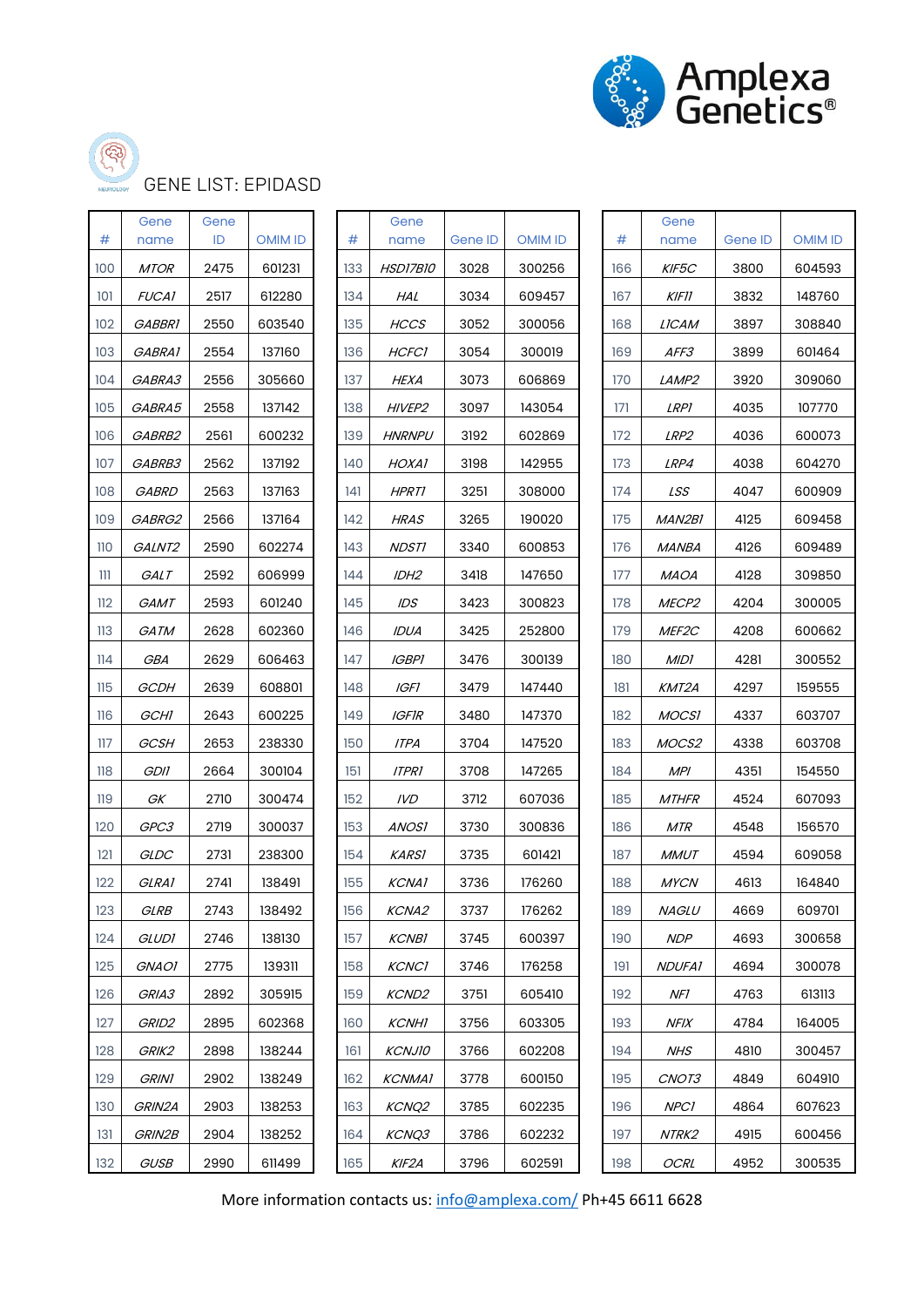

# GENE LIST: EPIDASD

| #   | Gene<br>name  | Gene<br>ID | <b>OMIM ID</b> | #   | Gene<br>name       | Gene ID | <b>OMIM ID</b> | #   | Gene<br>name      | Gene ID | <b>OMIM ID</b> |
|-----|---------------|------------|----------------|-----|--------------------|---------|----------------|-----|-------------------|---------|----------------|
| 100 | <b>MTOR</b>   | 2475       | 601231         | 133 | HSD17B10           | 3028    | 300256         | 166 | KIF5C             | 3800    | 604593         |
| 101 | <b>FUCA1</b>  | 2517       | 612280         | 134 | HAL                | 3034    | 609457         | 167 | <b>KIF11</b>      | 3832    | 148760         |
| 102 | <b>GABBRI</b> | 2550       | 603540         | 135 | <b>HCCS</b>        | 3052    | 300056         | 168 | LICAM             | 3897    | 308840         |
| 103 | GABRA1        | 2554       | 137160         | 136 | <b>HCFC1</b>       | 3054    | 300019         | 169 | <i>AFF3</i>       | 3899    | 601464         |
| 104 | GABRA3        | 2556       | 305660         | 137 | <b>HEXA</b>        | 3073    | 606869         | 170 | LAMP <sub>2</sub> | 3920    | 309060         |
| 105 | GABRA5        | 2558       | 137142         | 138 | HIVEP <sub>2</sub> | 3097    | 143054         | 171 | <b>LRPI</b>       | 4035    | 107770         |
| 106 | GABRB2        | 2561       | 600232         | 139 | <b>HNRNPU</b>      | 3192    | 602869         | 172 | LRP <sub>2</sub>  | 4036    | 600073         |
| 107 | GABRB3        | 2562       | 137192         | 140 | HOXA1              | 3198    | 142955         | 173 | LRP4              | 4038    | 604270         |
| 108 | <b>GABRD</b>  | 2563       | 137163         | 141 | <b>HPRT1</b>       | 3251    | 308000         | 174 | LSS               | 4047    | 600909         |
| 109 | GABRG2        | 2566       | 137164         | 142 | <b>HRAS</b>        | 3265    | 190020         | 175 | MAN2BI            | 4125    | 609458         |
| 110 | GALNT2        | 2590       | 602274         | 143 | <b>NDSTI</b>       | 3340    | 600853         | 176 | MANBA             | 4126    | 609489         |
| 111 | <b>GALT</b>   | 2592       | 606999         | 144 | IDH <sub>2</sub>   | 3418    | 147650         | 177 | <b>MAOA</b>       | 4128    | 309850         |
| 112 | GAMT          | 2593       | 601240         | 145 | IDS                | 3423    | 300823         | 178 | MECP <sub>2</sub> | 4204    | 300005         |
| 113 | GATM          | 2628       | 602360         | 146 | <b>IDUA</b>        | 3425    | 252800         | 179 | MEF2C             | 4208    | 600662         |
| 114 | GBA           | 2629       | 606463         | 147 | <b>IGBPI</b>       | 3476    | 300139         | 180 | <b>MIDI</b>       | 4281    | 300552         |
| 115 | GCDH          | 2639       | 608801         | 148 | <b>IGFI</b>        | 3479    | 147440         | 181 | KMT2A             | 4297    | 159555         |
| 116 | GCHI          | 2643       | 600225         | 149 | <b>IGFIR</b>       | 3480    | 147370         | 182 | <b>MOCSI</b>      | 4337    | 603707         |
| 117 | GCSH          | 2653       | 238330         | 150 | ITPA               | 3704    | 147520         | 183 | MOCS2             | 4338    | 603708         |
| 118 | <b>GDII</b>   | 2664       | 300104         | 151 | <b>ITPRI</b>       | 3708    | 147265         | 184 | <b>MPI</b>        | 4351    | 154550         |
| 119 | GK            | 2710       | 300474         | 152 | IVD                | 3712    | 607036         | 185 | <b>MTHFR</b>      | 4524    | 607093         |
| 120 | GPC3          | 2719       | 300037         | 153 | <b>ANOSI</b>       | 3730    | 300836         | 186 | <b>MTR</b>        | 4548    | 156570         |
| 121 | GLDC          | 2731       | 238300         | 154 | <b>KARSI</b>       | 3735    | 601421         | 187 | <b>MMUT</b>       | 4594    | 609058         |
| 122 | GLRA1         | 2741       | 138491         | 155 | <b>KCNA1</b>       | 3736    | 176260         | 188 | <b>MYCN</b>       | 4613    | 164840         |
| 123 | <b>GLRB</b>   | 2743       | 138492         | 156 | <b>KCNA2</b>       | 3737    | 176262         | 189 | <b>NAGLU</b>      | 4669    | 609701         |
| 124 | <b>GLUDI</b>  | 2746       | 138130         | 157 | <b>KCNB1</b>       | 3745    | 600397         | 190 | <b>NDP</b>        | 4693    | 300658         |
| 125 | <i>GNAO1</i>  | 2775       | 139311         | 158 | <b>KCNC1</b>       | 3746    | 176258         | 191 | <b>NDUFA1</b>     | 4694    | 300078         |
| 126 | GRIA3         | 2892       | 305915         | 159 | <b>KCND2</b>       | 3751    | 605410         | 192 | NF1               | 4763    | 613113         |
| 127 | GRID2         | 2895       | 602368         | 160 | <b>KCNHI</b>       | 3756    | 603305         | 193 | NFIX              | 4784    | 164005         |
| 128 | GRIK2         | 2898       | 138244         | 161 | <b>KCNJI0</b>      | 3766    | 602208         | 194 | NHS               | 4810    | 300457         |
| 129 | <b>GRINI</b>  | 2902       | 138249         | 162 | <b>KCNMA1</b>      | 3778    | 600150         | 195 | CNO <sub>T3</sub> | 4849    | 604910         |
| 130 | GRIN2A        | 2903       | 138253         | 163 | <b>KCNQ2</b>       | 3785    | 602235         | 196 | <b>NPC1</b>       | 4864    | 607623         |
| 131 | GRIN2B        | 2904       | 138252         | 164 | KCNQ3              | 3786    | 602232         | 197 | NTRK2             | 4915    | 600456         |
| 132 | <b>GUSB</b>   | 2990       | 611499         | 165 | KIF2A              | 3796    | 602591         | 198 | <b>OCRL</b>       | 4952    | 300535         |

| #   | Gene<br>name     | Gene ID | <b>OMIM ID</b> | #                |
|-----|------------------|---------|----------------|------------------|
| 133 | <i>HSD17B10</i>  | 3028    | 300256         | 16(              |
| 134 | HAL              | 3034    | 609457         | 16 <sup>1</sup>  |
| 135 | HCCS             | 3052    | 300056         | 165              |
| 136 | <b>HCFCI</b>     | 3054    | 300019         | 16 <sub>3</sub>  |
| 137 | HEXA             | 3073    | 606869         | 17(              |
| 138 | <i>HIVEP2</i>    | 3097    | 143054         | 17               |
| 139 | <i>HNRNPU</i>    | 3192    | 602869         | 172              |
| 140 | HOXAI            | 3198    | 142955         | 17:              |
| 141 | <i>HPRTI</i>     | 3251    | 308000         | 174              |
| 142 | <i>HRAS</i>      | 3265    | 190020         | 175              |
| 143 | <i>NDSTI</i>     | 3340    | 600853         | 176              |
| 144 | IDH2             | 3418    | 147650         | 17 <sup>17</sup> |
| 145 | IDS              | 3423    | 300823         | 178              |
| 146 | IDUA             | 3425    | 252800         | 17 <sup>5</sup>  |
| 147 | <i>IGBPI</i>     | 3476    | 300139         | 18               |
| 148 | <i>IGFI</i>      | 3479    | 147440         | 18               |
| 149 | <i>IGFIR</i>     | 3480    | 147370         | 18:              |
| 150 | ITPA             | 3704    | 147520         | 18               |
| 151 | <i>ITPRI</i>     | 3708    | 147265         | 18               |
| 152 | IVD              | 3712    | 607036         | 18!              |
| 153 | ANOSI            | 3730    | 300836         | 180              |
| 154 | KARSI            | 3735    | 601421         | 18 <sup>1</sup>  |
| 155 | <i>KCNA1</i>     | 3736    | 176260         | 18               |
| 156 | <i>KCNA2</i>     | 3737    | 176262         | 18!              |
| 157 | KCNBI            | 3745    | 600397         | 190              |
| 158 | <i>KCNCI</i>     | 3746    | 176258         | 19               |
| 159 | <i>KCND2</i>     | 3751    | 605410         | 19:              |
| 160 | <b>KCNHI</b>     | 3756    | 603305         | 19:              |
| 161 | <i>KCNJ10</i>    | 3766    | 602208         | 19               |
| 162 | KCNMA1           | 3778    | 600150         | 19!              |
| 163 | <b>KCNQ2</b>     | 3785    | 602235         | 19(              |
| 164 | <i>KCNQ3</i>     | 3786    | 602232         | 19               |
| 16F | $V$ $I$ $E$ $2A$ | 2706    | 0.0501         | 10 <sub>1</sub>  |

| #   | Gene<br>name  | Gene ID | <b>OMIM ID</b> |  |  |
|-----|---------------|---------|----------------|--|--|
| 166 | KIF5C         | 3800    | 604593         |  |  |
| 167 | KIFII         | 3832    | 148760         |  |  |
| 168 | <i>LICAM</i>  | 3897    | 308840         |  |  |
| 169 | <i>AFF3</i>   | 3899    | 601464         |  |  |
| 170 | <i>LAMP2</i>  | 3920    | 309060         |  |  |
| 171 | LRPI          | 4035    | 107770         |  |  |
| 172 | <i>LRP2</i>   | 4036    | 600073         |  |  |
| 173 | <i>LRP4</i>   | 4038    | 604270         |  |  |
| 174 | LSS           | 4047    | 600909         |  |  |
| 175 | <i>MAN2B1</i> | 4125    | 609458         |  |  |
| 176 | MANBA         | 4126    | 609489         |  |  |
| 177 | MAOA          | 4128    | 309850         |  |  |
| 178 | <i>MECP2</i>  | 4204    | 300005         |  |  |
| 179 | <i>MEF2C</i>  | 4208    | 600662         |  |  |
| 180 | MIDI          | 4281    | 300552         |  |  |
| 181 | KMT2A         | 4297    | 159555         |  |  |
| 182 | <i>MOCSI</i>  | 4337    | 603707         |  |  |
| 183 | <i>MOCS2</i>  | 4338    | 603708         |  |  |
| 184 | MPI           | 4351    | 154550         |  |  |
| 185 | <i>MTHFR</i>  | 4524    | 607093         |  |  |
| 186 | MTR           | 4548    | 156570         |  |  |
| 187 | MMUT          | 4594    | 609058         |  |  |
| 188 | MYCN          | 4613    | 164840         |  |  |
| 189 | <i>NAGLU</i>  | 4669    | 609701         |  |  |
| 190 | NDP           | 4693    | 300658         |  |  |
| 191 | NDUFA1        | 4694    | 300078         |  |  |
| 192 | NFI           | 4763    | 613113         |  |  |
| 193 | NFIX          | 4784    | 164005         |  |  |
| 194 | NHS           | 4810    | 300457         |  |  |
| 195 | <i>CNOT3</i>  | 4849    | 604910         |  |  |
| 196 | NPC1          | 4864    | 607623         |  |  |
| 197 | NTRK2         | 4915    | 600456         |  |  |
| 198 | OCRL          | 4952    | 300535         |  |  |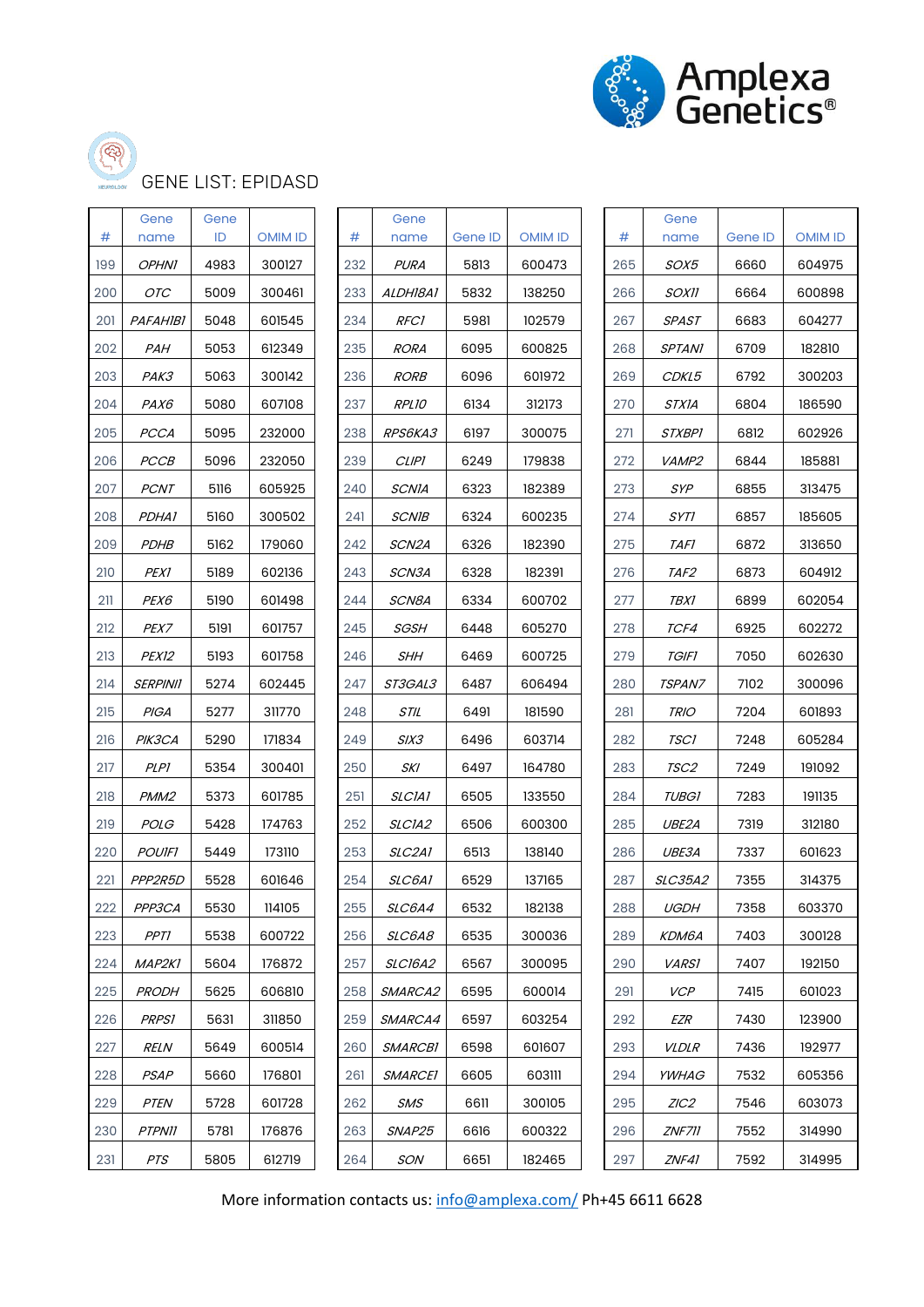



## GENE LIST: EPIDASD

| #   | Gene<br>name     | Gene<br>ID | <b>OMIM ID</b> | #   | Gene<br>name          | <b>Gene ID</b> | <b>OMIM ID</b> | #   | Gene<br>name         | Gene ID | <b>OMIM ID</b> |
|-----|------------------|------------|----------------|-----|-----------------------|----------------|----------------|-----|----------------------|---------|----------------|
| 199 | <b>OPHNI</b>     | 4983       | 300127         | 232 | <b>PURA</b>           | 5813           | 600473         | 265 | SOX5                 | 6660    | 604975         |
| 200 | OTC              | 5009       | 300461         | 233 | ALDH18A1              | 5832           | 138250         | 266 | <b>SOXII</b>         | 6664    | 600898         |
| 201 | <b>PAFAHIBI</b>  | 5048       | 601545         | 234 | <b>RFC1</b>           | 5981           | 102579         | 267 | <b>SPAST</b>         | 6683    | 604277         |
| 202 | PAH              | 5053       | 612349         | 235 | <b>RORA</b>           | 6095           | 600825         | 268 | <b>SPTANI</b>        | 6709    | 182810         |
| 203 | PAK3             | 5063       | 300142         | 236 | <b>RORB</b>           | 6096           | 601972         | 269 | CDKL5                | 6792    | 300203         |
| 204 | PAX6             | 5080       | 607108         | 237 | RPL10                 | 6134           | 312173         | 270 | STXIA                | 6804    | 186590         |
| 205 | <b>PCCA</b>      | 5095       | 232000         | 238 | RPS6KA3               | 6197           | 300075         | 271 | <b>STXBPI</b>        | 6812    | 602926         |
| 206 | PCCB             | 5096       | 232050         | 239 | <b>CLIPI</b>          | 6249           | 179838         | 272 | VAMP2                | 6844    | 185881         |
| 207 | <b>PCNT</b>      | 5116       | 605925         | 240 | <b>SCNIA</b>          | 6323           | 182389         | 273 | SYP                  | 6855    | 313475         |
| 208 | <i>PDHA1</i>     | 5160       | 300502         | 241 | <b>SCNIB</b>          | 6324           | 600235         | 274 | SYT1                 | 6857    | 185605         |
| 209 | <b>PDHB</b>      | 5162       | 179060         | 242 | SCN2A                 | 6326           | 182390         | 275 | <b>TAFI</b>          | 6872    | 313650         |
| 210 | <b>PEX1</b>      | 5189       | 602136         | 243 | SCN3A                 | 6328           | 182391         | 276 | TAF <sub>2</sub>     | 6873    | 604912         |
| 211 | PEX6             | 5190       | 601498         | 244 | SCN8A                 | 6334           | 600702         | 277 | <i>TBX1</i>          | 6899    | 602054         |
| 212 | PEX7             | 5191       | 601757         | 245 | <b>SGSH</b>           | 6448           | 605270         | 278 | TCF4                 | 6925    | 602272         |
| 213 | PEX12            | 5193       | 601758         | 246 | SHH                   | 6469           | 600725         | 279 | <b>TGIFI</b>         | 7050    | 602630         |
| 214 | <b>SERPINII</b>  | 5274       | 602445         | 247 | ST3GAL3               | 6487           | 606494         | 280 | <i><b>TSPAN7</b></i> | 7102    | 300096         |
| 215 | PIGA             | 5277       | 311770         | 248 | STIL                  | 6491           | 181590         | 281 | <b>TRIO</b>          | 7204    | 601893         |
| 216 | PIK3CA           | 5290       | 171834         | 249 | SIX3                  | 6496           | 603714         | 282 | <b>TSC1</b>          | 7248    | 605284         |
| 217 | <b>PLP1</b>      | 5354       | 300401         | 250 | SKI                   | 6497           | 164780         | 283 | TSC <sub>2</sub>     | 7249    | 191092         |
| 218 | PMM <sub>2</sub> | 5373       | 601785         | 251 | <b>SLCIAI</b>         | 6505           | 133550         | 284 | <b>TUBG1</b>         | 7283    | 191135         |
| 219 | <b>POLG</b>      | 5428       | 174763         | 252 | SLCIA2                | 6506           | 600300         | 285 | UBE2A                | 7319    | 312180         |
| 220 | <b>POUIFI</b>    | 5449       | 173110         | 253 | <i>SLC2A1</i>         | 6513           | 138140         | 286 | <i>UBE3A</i>         | 7337    | 601623         |
| 221 | PPP2R5D          | 5528       | 601646         | 254 | SLC6A1                | 6529           | 137165         | 287 | <b>SLC35A2</b>       | 7355    | 314375         |
| 222 | PPP3CA           | 5530       | 114105         | 255 | <i>SLC6A4</i>         | 6532           | 182138         | 288 | <b>UGDH</b>          | 7358    | 603370         |
| 223 | PPT1             | 5538       | 600722         | 256 | SLC6A8                | 6535           | 300036         | 289 | KDM6A                | 7403    | 300128         |
| 224 | MAP2K1           | 5604       | 176872         | 257 | <b>SLC16A2</b>        | 6567           | 300095         | 290 | <b>VARSI</b>         | 7407    | 192150         |
| 225 | <b>PRODH</b>     | 5625       | 606810         | 258 | SMARCA2               | 6595           | 600014         | 291 | <b>VCP</b>           | 7415    | 601023         |
| 226 | <b>PRPS1</b>     | 5631       | 311850         | 259 | SMARCA4               | 6597           | 603254         | 292 | EZR                  | 7430    | 123900         |
| 227 | <b>RELN</b>      | 5649       | 600514         | 260 | <b>SMARCB1</b>        | 6598           | 601607         | 293 | <i>VLDLR</i>         | 7436    | 192977         |
| 228 | PSAP             | 5660       | 176801         | 261 | <i><b>SMARCEI</b></i> | 6605           | 603111         | 294 | <i>YWHAG</i>         | 7532    | 605356         |
| 229 | <b>PTEN</b>      | 5728       | 601728         | 262 | <b>SMS</b>            | 6611           | 300105         | 295 | ZIC2                 | 7546    | 603073         |
| 230 | <b>PTPNII</b>    | 5781       | 176876         | 263 | SNAP25                | 6616           | 600322         | 296 | ZNF711               | 7552    | 314990         |
| 231 | PTS              | 5805       | 612719         | 264 | SON                   | 6651           | 182465         | 297 | ZNF41                | 7592    | 314995         |

| #   | Gene<br>name    | Gene ID | OMIM ID | #  |
|-----|-----------------|---------|---------|----|
| 232 | <i>PURA</i>     | 5813    | 600473  | 26 |
| 233 | <i>ALDH18A1</i> | 5832    | 138250  | 26 |
| 234 | <i>RFC1</i>     | 5981    | 102579  | 26 |
| 235 | <i>RORA</i>     | 6095    | 600825  | 26 |
| 236 | <i>RORB</i>     | 6096    | 601972  | 26 |
| 237 | <i>RPL10</i>    | 6134    | 312173  | 27 |
| 238 | <i>RPS6KA3</i>  | 6197    | 300075  | 27 |
| 239 | CLIPI           | 6249    | 179838  | 27 |
| 240 | SCNIA           | 6323    | 182389  | 27 |
| 241 | <i>SCNIB</i>    | 6324    | 600235  | 27 |
| 242 | <i>SCN2A</i>    | 6326    | 182390  | 27 |
| 243 | <i>SCN3A</i>    | 6328    | 182391  | 27 |
| 244 | <i>SCN8A</i>    | 6334    | 600702  | 27 |
| 245 | <i>SGSH</i>     | 6448    | 605270  | 27 |
| 246 | <i>SHH</i>      | 6469    | 600725  | 27 |
| 247 | <i>ST3GAL3</i>  | 6487    | 606494  | 28 |
| 248 | STIL            | 6491    | 181590  | 28 |
| 249 | <i>SIX3</i>     | 6496    | 603714  | 28 |
| 250 | SKI             | 6497    | 164780  | 28 |
| 251 | SLCIAI          | 6505    | 133550  | 28 |
| 252 | <i>SLCIA2</i>   | 6506    | 600300  | 28 |
| 253 | <i>SLC2A1</i>   | 6513    | 138140  | 28 |
| 254 | <i>SLC6A1</i>   | 6529    | 137165  | 28 |
| 255 | <i>SLC6A4</i>   | 6532    | 182138  | 28 |
| 256 | <i>SLC6A8</i>   | 6535    | 300036  | 28 |
| 257 | <i>SLC16A2</i>  | 6567    | 300095  | 29 |
| 258 | <i>SMARCA2</i>  | 6595    | 600014  | 29 |
| 259 | <i>SMARCA4</i>  | 6597    | 603254  | 29 |
| 260 | <i>SMARCB1</i>  | 6598    | 601607  | 29 |
| 261 | <i>SMARCEI</i>  | 6605    | 603111  | 29 |
| 262 | SMS             | 6611    | 300105  | 29 |
| 263 | <i>SNAP25</i>   | 6616    | 600322  | 29 |
| 264 | SON             | 6651    | 182465  | 29 |

| #   | Gene<br>name     | Gene<br>ID | <b>OMIM ID</b> | #   | Gene<br>name    | Gene ID | <b>OMIM ID</b> | #   | Gene<br>name   | Gene ID | OMIM ID |
|-----|------------------|------------|----------------|-----|-----------------|---------|----------------|-----|----------------|---------|---------|
| 199 | <b>OPHNI</b>     | 4983       | 300127         | 232 | PURA            | 5813    | 600473         | 265 | <i>SOX5</i>    | 6660    | 604975  |
| 200 | OTC              | 5009       | 300461         | 233 | <i>ALDHI8A1</i> | 5832    | 138250         | 266 | <i>SOXII</i>   | 6664    | 600898  |
| 201 | <i>PAFAHIBI</i>  | 5048       | 601545         | 234 | <b>RFC1</b>     | 5981    | 102579         | 267 | SPAST          | 6683    | 604277  |
| 202 | PAH              | 5053       | 612349         | 235 | RORA            | 6095    | 600825         | 268 | <b>SPTANI</b>  | 6709    | 182810  |
| 203 | РАКЗ             | 5063       | 300142         | 236 | <b>RORB</b>     | 6096    | 601972         | 269 | <i>CDKL5</i>   | 6792    | 300203  |
| 204 | <i>PAX6</i>      | 5080       | 607108         | 237 | <b>RPL10</b>    | 6134    | 312173         | 270 | STXIA          | 6804    | 186590  |
| 205 | PCCA             | 5095       | 232000         | 238 | RPS6KA3         | 6197    | 300075         | 271 | <i>STXBPI</i>  | 6812    | 602926  |
| 206 | <b>PCCB</b>      | 5096       | 232050         | 239 | <b>CLIPI</b>    | 6249    | 179838         | 272 | <i>VAMP2</i>   | 6844    | 185881  |
| 207 | <b>PCNT</b>      | 5116       | 605925         | 240 | SCNIA           | 6323    | 182389         | 273 | <b>SYP</b>     | 6855    | 313475  |
| 208 | <i>PDHA1</i>     | 5160       | 300502         | 241 | <b>SCNIB</b>    | 6324    | 600235         | 274 | SYT1           | 6857    | 185605  |
| 209 | <i>PDHB</i>      | 5162       | 179060         | 242 | SCN2A           | 6326    | 182390         | 275 | TAFI           | 6872    | 313650  |
| 210 | PEX1             | 5189       | 602136         | 243 | <i>SCN3A</i>    | 6328    | 182391         | 276 | <i>TAF2</i>    | 6873    | 604912  |
| 211 | <i>PEX6</i>      | 5190       | 601498         | 244 | SCN8A           | 6334    | 600702         | 277 | TBX1           | 6899    | 602054  |
| 212 | <i>PEX7</i>      | 5191       | 601757         | 245 | <i>SGSH</i>     | 6448    | 605270         | 278 | TCF4           | 6925    | 602272  |
| 213 | <i>PEX12</i>     | 5193       | 601758         | 246 | SHH             | 6469    | 600725         | 279 | TGIFI          | 7050    | 602630  |
| 214 | <b>SERPINII</b>  | 5274       | 602445         | 247 | <i>ST3GAL3</i>  | 6487    | 606494         | 280 | <i>TSPAN7</i>  | 7102    | 300096  |
| 215 | PIGA             | 5277       | 311770         | 248 | STIL            | 6491    | 181590         | 281 | <b>TRIO</b>    | 7204    | 601893  |
| 216 | <i>PIK3CA</i>    | 5290       | 171834         | 249 | <i>SIX3</i>     | 6496    | 603714         | 282 | <i>TSCI</i>    | 7248    | 605284  |
| 217 | PLPI             | 5354       | 300401         | 250 | SKI             | 6497    | 164780         | 283 | TSC2           | 7249    | 191092  |
| 218 | PMM <sub>2</sub> | 5373       | 601785         | 251 | <i>SLCIA1</i>   | 6505    | 133550         | 284 | <b>TUBG1</b>   | 7283    | 191135  |
| 219 | <i>POLG</i>      | 5428       | 174763         | 252 | SLCIA2          | 6506    | 600300         | 285 | UBE2A          | 7319    | 312180  |
| 220 | <b>POUIFI</b>    | 5449       | 173110         | 253 | <i>SLC2A1</i>   | 6513    | 138140         | 286 | <i>UBE3A</i>   | 7337    | 601623  |
| 221 | PPP2R5D          | 5528       | 601646         | 254 | SLC6A1          | 6529    | 137165         | 287 | <i>SLC35A2</i> | 7355    | 314375  |
| 222 | PPP3CA           | 5530       | 114105         | 255 | SLC6A4          | 6532    | 182138         | 288 | <b>UGDH</b>    | 7358    | 603370  |
| 223 | PPT1             | 5538       | 600722         | 256 | <i>SLC6A8</i>   | 6535    | 300036         | 289 | КDМ6А          | 7403    | 300128  |
| 224 | <i>MAP2K1</i>    | 5604       | 176872         | 257 | <i>SLC16A2</i>  | 6567    | 300095         | 290 | <i>VARSI</i>   | 7407    | 192150  |
| 225 | <b>PRODH</b>     | 5625       | 606810         | 258 | SMARCA2         | 6595    | 600014         | 291 | <b>VCP</b>     | 7415    | 601023  |
| 226 | <b>PRPS1</b>     | 5631       | 311850         | 259 | <i>SMARCA4</i>  | 6597    | 603254         | 292 | EZR            | 7430    | 123900  |
| 227 | <i>RELN</i>      | 5649       | 600514         | 260 | <i>SMARCBI</i>  | 6598    | 601607         | 293 | <i>VLDLR</i>   | 7436    | 192977  |
| 228 | <b>PSAP</b>      | 5660       | 176801         | 261 | <i>SMARCEI</i>  | 6605    | 603111         | 294 | <i>YWHAG</i>   | 7532    | 605356  |
| 229 | <b>PTEN</b>      | 5728       | 601728         | 262 | SMS             | 6611    | 300105         | 295 | ZIC2           | 7546    | 603073  |
| 230 | <b>PTPNII</b>    | 5781       | 176876         | 263 | SNAP25          | 6616    | 600322         | 296 | <i>ZNF711</i>  | 7552    | 314990  |
| 231 | PTS              | 5805       | 612719         | 264 | SON             | 6651    | 182465         | 297 | ZNF41          | 7592    | 314995  |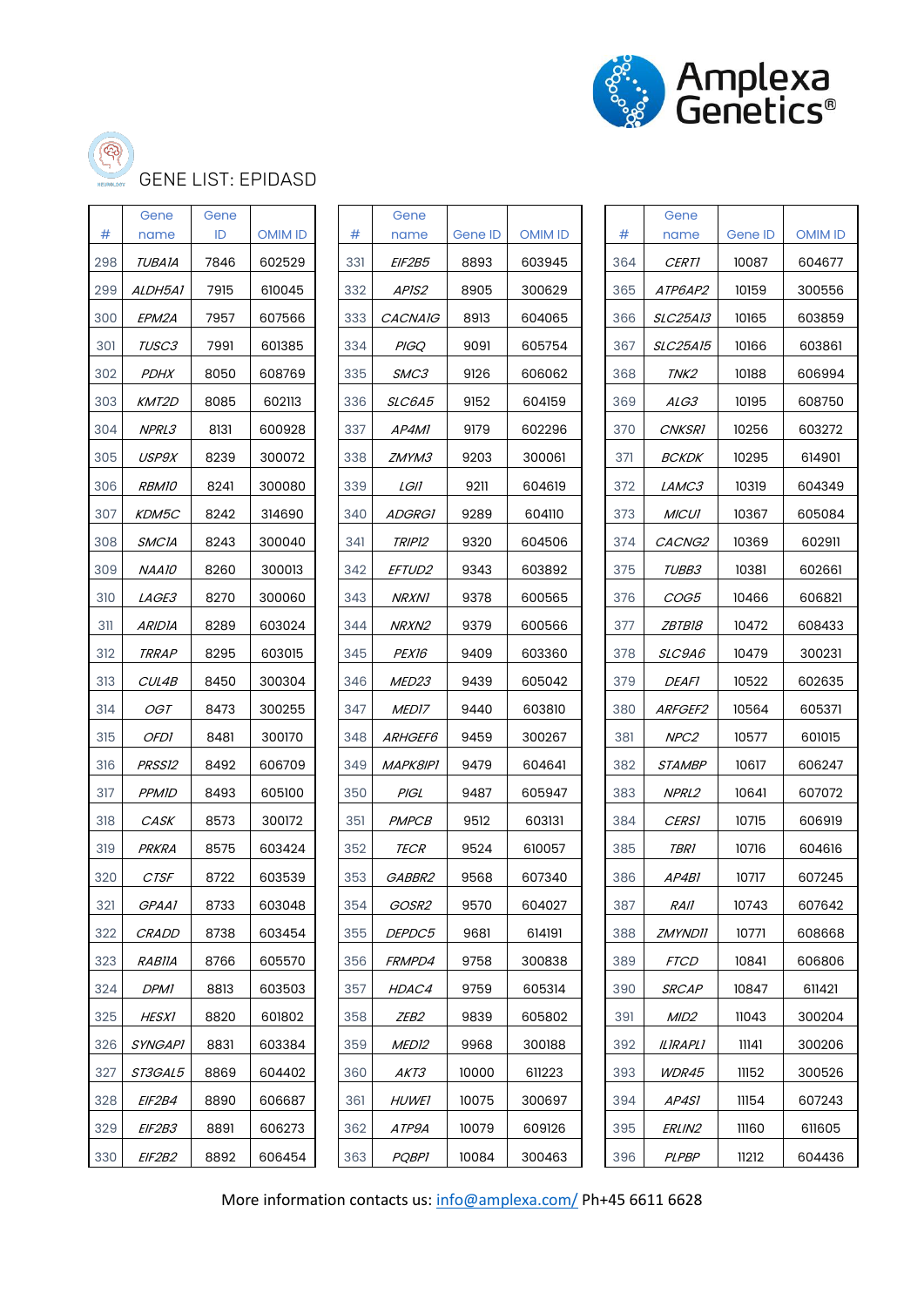

## GENE LIST: EPIDASD

| #   | Gene<br>name   | Gene<br>ID | <b>OMIM ID</b> | #   | Gene<br>name       | Gene ID | <b>OMIM ID</b> | #   | Gene<br>name     | Gene ID | <b>OMIM ID</b> |
|-----|----------------|------------|----------------|-----|--------------------|---------|----------------|-----|------------------|---------|----------------|
| 298 | <b>TUBAIA</b>  | 7846       | 602529         | 331 | EIF2B5             | 8893    | 603945         | 364 | <b>CERTI</b>     | 10087   | 604677         |
| 299 | ALDH5A1        | 7915       | 610045         | 332 | APIS2              | 8905    | 300629         | 365 | ATP6AP2          | 10159   | 300556         |
| 300 | EPM2A          | 7957       | 607566         | 333 | <b>CACNAIG</b>     | 8913    | 604065         | 366 | <b>SLC25A13</b>  | 10165   | 603859         |
| 301 | TUSC3          | 7991       | 601385         | 334 | <b>PIGQ</b>        | 9091    | 605754         | 367 | <b>SLC25A15</b>  | 10166   | 603861         |
| 302 | <b>PDHX</b>    | 8050       | 608769         | 335 | SMC3               | 9126    | 606062         | 368 | TNK2             | 10188   | 606994         |
| 303 | KMT2D          | 8085       | 602113         | 336 | SLC6A5             | 9152    | 604159         | 369 | ALG3             | 10195   | 608750         |
| 304 | NPRL3          | 8131       | 600928         | 337 | AP4MI              | 9179    | 602296         | 370 | <b>CNKSR1</b>    | 10256   | 603272         |
| 305 | USP9X          | 8239       | 300072         | 338 | <i>ZMYM3</i>       | 9203    | 300061         | 371 | <b>BCKDK</b>     | 10295   | 614901         |
| 306 | <b>RBM10</b>   | 8241       | 300080         | 339 | LGII               | 9211    | 604619         | 372 | LAMC3            | 10319   | 604349         |
| 307 | KDM5C          | 8242       | 314690         | 340 | <b>ADGRG1</b>      | 9289    | 604110         | 373 | <b>MICUI</b>     | 10367   | 605084         |
| 308 | <b>SMCIA</b>   | 8243       | 300040         | 341 | TRIP12             | 9320    | 604506         | 374 | CACNG2           | 10369   | 602911         |
| 309 | NAA10          | 8260       | 300013         | 342 | EFTUD <sub>2</sub> | 9343    | 603892         | 375 | TUBB3            | 10381   | 602661         |
| 310 | LAGE3          | 8270       | 300060         | 343 | <b>NRXN1</b>       | 9378    | 600565         | 376 | COG5             | 10466   | 606821         |
| 311 | <b>ARIDIA</b>  | 8289       | 603024         | 344 | NRXN2              | 9379    | 600566         | 377 | <i>ZBTB18</i>    | 10472   | 608433         |
| 312 | <b>TRRAP</b>   | 8295       | 603015         | 345 | PEX16              | 9409    | 603360         | 378 | <i>SLC9A6</i>    | 10479   | 300231         |
| 313 | CUL4B          | 8450       | 300304         | 346 | MED <sub>23</sub>  | 9439    | 605042         | 379 | <i>DEAFI</i>     | 10522   | 602635         |
| 314 | OGT            | 8473       | 300255         | 347 | MED17              | 9440    | 603810         | 380 | ARFGEF2          | 10564   | 605371         |
| 315 | <b>OFDI</b>    | 8481       | 300170         | 348 | ARHGEF6            | 9459    | 300267         | 381 | NPC <sub>2</sub> | 10577   | 601015         |
| 316 | PRSS12         | 8492       | 606709         | 349 | MAPK8IP1           | 9479    | 604641         | 382 | <b>STAMBP</b>    | 10617   | 606247         |
| 317 | <b>PPMID</b>   | 8493       | 605100         | 350 | PIGL               | 9487    | 605947         | 383 | NPRL2            | 10641   | 607072         |
| 318 | CASK           | 8573       | 300172         | 351 | <b>PMPCB</b>       | 9512    | 603131         | 384 | <b>CERS1</b>     | 10715   | 606919         |
| 319 | PRKRA          | 8575       | 603424         | 352 | <b>TECR</b>        | 9524    | 610057         | 385 | <i>TBR1</i>      | 10716   | 604616         |
| 320 | <b>CTSF</b>    | 8722       | 603539         | 353 | GABBR2             | 9568    | 607340         | 386 | AP4B1            | 10717   | 607245         |
| 321 | GPAA1          | 8733       | 603048         | 354 | GOSR2              | 9570    | 604027         | 387 | <b>RAII</b>      | 10743   | 607642         |
| 322 | <b>CRADD</b>   | 8738       | 603454         | 355 | DEPDC5             | 9681    | 614191         | 388 | <b>ZMYNDII</b>   | 10771   | 608668         |
| 323 | <i>RABIIA</i>  | 8766       | 605570         | 356 | FRMPD4             | 9758    | 300838         | 389 | <b>FTCD</b>      | 10841   | 606806         |
| 324 | <b>DPMI</b>    | 8813       | 603503         | 357 | HDAC4              | 9759    | 605314         | 390 | <b>SRCAP</b>     | 10847   | 611421         |
| 325 | <b>HESX1</b>   | 8820       | 601802         | 358 | ZEB2               | 9839    | 605802         | 391 | MID <sub>2</sub> | 11043   | 300204         |
| 326 | <b>SYNGAPI</b> | 8831       | 603384         | 359 | MED <sub>12</sub>  | 9968    | 300188         | 392 | <b>ILIRAPLI</b>  | 11141   | 300206         |
| 327 | ST3GAL5        | 8869       | 604402         | 360 | AKT3               | 10000   | 611223         | 393 | <i>WDR45</i>     | 11152   | 300526         |
| 328 | EIF2B4         | 8890       | 606687         | 361 | <b>HUWEI</b>       | 10075   | 300697         | 394 | AP4S1            | 11154   | 607243         |
| 329 | <i>EIF2B3</i>  | 8891       | 606273         | 362 | ATP9A              | 10079   | 609126         | 395 | <i>ERLIN2</i>    | 11160   | 611605         |
| 330 | EIF2B2         | 8892       | 606454         | 363 | <b>PQBPI</b>       | 10084   | 300463         | 396 | PLPBP            | 11212   | 604436         |

|     | Gene            |         |         |    |
|-----|-----------------|---------|---------|----|
| #   | name            | Gene ID | OMIM ID | #  |
| 331 | EIF2B5          | 8893    | 603945  | 36 |
| 332 | <i>APIS2</i>    | 8905    | 300629  | 36 |
| 333 | <i>CACNAIG</i>  | 8913    | 604065  | 36 |
| 334 | <b>PIGQ</b>     | 9091    | 605754  | 36 |
| 335 | <i>SMC3</i>     | 9126    | 606062  | 36 |
| 336 | <i>SLC6A5</i>   | 9152    | 604159  | 36 |
| 337 | <i>AP4MI</i>    | 9179    | 602296  | 37 |
| 338 | <i>ZMYM3</i>    | 9203    | 300061  | 37 |
| 339 | LGII            | 9211    | 604619  | 37 |
| 340 | <i>ADGRGI</i>   | 9289    | 604110  | 37 |
| 341 | <i>TRIP12</i>   | 9320    | 604506  | 37 |
| 342 | <i>EFTUD2</i>   | 9343    | 603892  | 37 |
| 343 | <i>NRXN1</i>    | 9378    | 600565  | 37 |
| 344 | <i>NRXN2</i>    | 9379    | 600566  | 37 |
| 345 | <i>PEX16</i>    | 9409    | 603360  | 37 |
| 346 | <i>MED23</i>    | 9439    | 605042  | 37 |
| 347 | <i>MED17</i>    | 9440    | 603810  | 38 |
| 348 | <i>ARHGEF6</i>  | 9459    | 300267  | 38 |
| 349 | <i>MAPK8IPI</i> | 9479    | 604641  | 38 |
| 350 | PIGL            | 9487    | 605947  | 38 |
| 351 | PMPCB           | 9512    | 603131  | 38 |
| 352 | <i>TECR</i>     | 9524    | 610057  | 38 |
| 353 | <i>GABBR2</i>   | 9568    | 607340  | 38 |
| 354 | GOSR2           | 9570    | 604027  | 38 |
| 355 | <i>DEPDC5</i>   | 9681    | 614191  | 38 |
| 356 | <i>FRMPD4</i>   | 9758    | 300838  | 38 |
| 357 | <i>HDAC4</i>    | 9759    | 605314  | 39 |
| 358 | <i>ZEB2</i>     | 9839    | 605802  | 39 |
| 359 | <i>MED12</i>    | 9968    | 300188  | 39 |
| 360 | AKT3            | 10000   | 611223  | 39 |
| 361 | <i>HUWEI</i>    | 10075   | 300697  | 39 |
| 362 | ATP9A           | 10079   | 609126  | 39 |
|     |                 |         |         |    |

| #   | Gene<br>name    | Gene ID | OMIM ID |  |  |
|-----|-----------------|---------|---------|--|--|
| 364 | <i>CERTI</i>    | 10087   | 604677  |  |  |
| 365 | <i>ATP6AP2</i>  | 10159   | 300556  |  |  |
| 366 | <i>SLC25A13</i> | 10165   | 603859  |  |  |
| 367 | <i>SLC25A15</i> | 10166   | 603861  |  |  |
| 368 | <i>TNK2</i>     | 10188   | 606994  |  |  |
| 369 | <i>ALG3</i>     | 10195   | 608750  |  |  |
| 370 | <i>CNKSR1</i>   | 10256   | 603272  |  |  |
| 371 | <i>BCKDK</i>    | 10295   | 614901  |  |  |
| 372 | <i>LAMC3</i>    | 10319   | 604349  |  |  |
| 373 | <b>MICUI</b>    | 10367   | 605084  |  |  |
| 374 | <i>CACNG2</i>   | 10369   | 602911  |  |  |
| 375 | <i>TUBB3</i>    | 10381   | 602661  |  |  |
| 376 | <i>COG5</i>     | 10466   | 606821  |  |  |
| 377 | <i>ZBTB18</i>   | 10472   | 608433  |  |  |
| 378 | <i>SLC9A6</i>   | 10479   | 300231  |  |  |
| 379 | <i>DEAFI</i>    | 10522   | 602635  |  |  |
| 380 | <i>ARFGEF2</i>  | 10564   | 605371  |  |  |
| 381 | <i>NPC2</i>     | 10577   | 601015  |  |  |
| 382 | <i>STAMBP</i>   | 10617   | 606247  |  |  |
| 383 | NPRL2           | 10641   | 607072  |  |  |
| 384 | <i>CERSI</i>    | 10715   | 606919  |  |  |
| 385 | TBRI            | 10716   | 604616  |  |  |
| 386 | AP4BI           | 10717   | 607245  |  |  |
| 387 | RAII            | 10743   | 607642  |  |  |
| 388 | <i>ZMYNDII</i>  | 10771   | 608668  |  |  |
| 389 | <i>FTCD</i>     | 10841   | 606806  |  |  |
| 390 | <i>SRCAP</i>    | 10847   | 611421  |  |  |
| 391 | MID2            | 11043   | 300204  |  |  |
| 392 | ILIRAPLI        | 11141   | 300206  |  |  |
| 393 | <i>WDR45</i>    | 11152   | 300526  |  |  |
| 394 | AP4SI           | 11154   | 607243  |  |  |
| 395 | <i>ERLIN2</i>   | 11160   | 611605  |  |  |
| 396 | PLPBP           | 11212   | 604436  |  |  |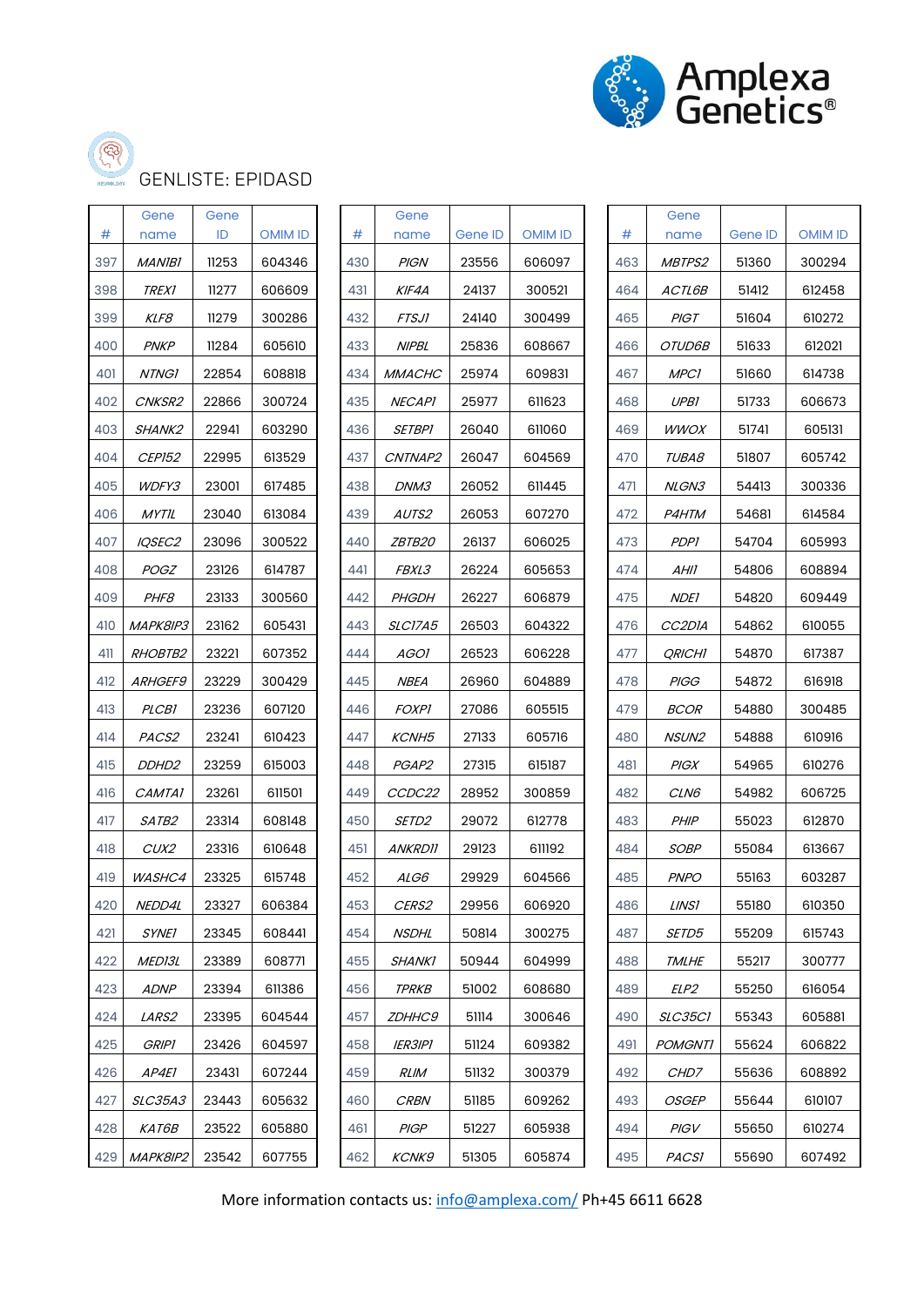

ඐ

#### GENLISTE: EPIDASD

| #   | Gene<br>name      | Gene<br>ID | <b>OMIM ID</b> | #   | Gene<br>name          | Gene ID | <b>OMIM ID</b> | #   | Gene<br>name        | Gene ID | <b>OMIM ID</b> |
|-----|-------------------|------------|----------------|-----|-----------------------|---------|----------------|-----|---------------------|---------|----------------|
| 397 | <b>MANIBI</b>     | 11253      | 604346         | 430 | <b>PIGN</b>           | 23556   | 606097         | 463 | MBTPS2              | 51360   | 300294         |
| 398 | <i>TREX1</i>      | 11277      | 606609         | 431 | KIF4A                 | 24137   | 300521         | 464 | ACTL6B              | 51412   | 612458         |
| 399 | KLF8              | 11279      | 300286         | 432 | <b>FTSJI</b>          | 24140   | 300499         | 465 | <b>PIGT</b>         | 51604   | 610272         |
| 400 | <b>PNKP</b>       | 11284      | 605610         | 433 | <b>NIPBL</b>          | 25836   | 608667         | 466 | OTUD6B              | 51633   | 612021         |
| 401 | <b>NTNG1</b>      | 22854      | 608818         | 434 | <b>MMACHC</b>         | 25974   | 609831         | 467 | <b>MPC1</b>         | 51660   | 614738         |
| 402 | CNKSR2            | 22866      | 300724         | 435 | <b>NECAPI</b>         | 25977   | 611623         | 468 | UPB1                | 51733   | 606673         |
| 403 | SHANK2            | 22941      | 603290         | 436 | <b>SETBPI</b>         | 26040   | 611060         | 469 | <b>WWOX</b>         | 51741   | 605131         |
| 404 | <b>CEP152</b>     | 22995      | 613529         | 437 | CNTNAP2               | 26047   | 604569         | 470 | TUBA8               | 51807   | 605742         |
| 405 | WDFY3             | 23001      | 617485         | 438 | DNM3                  | 26052   | 611445         | 471 | NLGN3               | 54413   | 300336         |
| 406 | MYTIL             | 23040      | 613084         | 439 | AUTS2                 | 26053   | 607270         | 472 | P4HTM               | 54681   | 614584         |
| 407 | IQSEC2            | 23096      | 300522         | 440 | ZBTB20                | 26137   | 606025         | 473 | <b>PDPI</b>         | 54704   | 605993         |
| 408 | <b>POGZ</b>       | 23126      | 614787         | 441 | FBXL3                 | 26224   | 605653         | 474 | AHII                | 54806   | 608894         |
| 409 | PHF8              | 23133      | 300560         | 442 | <b>PHGDH</b>          | 26227   | 606879         | 475 | <b>NDE1</b>         | 54820   | 609449         |
| 410 | MAPK8IP3          | 23162      | 605431         | 443 | SLC17A5               | 26503   | 604322         | 476 | CC <sub>2</sub> DIA | 54862   | 610055         |
| 411 | <b>RHOBTB2</b>    | 23221      | 607352         | 444 | AGOI                  | 26523   | 606228         | 477 | <b>QRICHI</b>       | 54870   | 617387         |
| 412 | ARHGEF9           | 23229      | 300429         | 445 | <b>NBEA</b>           | 26960   | 604889         | 478 | <b>PIGG</b>         | 54872   | 616918         |
| 413 | <b>PLCB1</b>      | 23236      | 607120         | 446 | <b>FOXPI</b>          | 27086   | 605515         | 479 | <b>BCOR</b>         | 54880   | 300485         |
| 414 | PACS2             | 23241      | 610423         | 447 | KCNH <sub>5</sub>     | 27133   | 605716         | 480 | NSUN2               | 54888   | 610916         |
| 415 | DDHD <sub>2</sub> | 23259      | 615003         | 448 | PGAP2                 | 27315   | 615187         | 481 | <b>PIGX</b>         | 54965   | 610276         |
| 416 | CAMTA1            | 23261      | 611501         | 449 | CCDC22                | 28952   | 300859         | 482 | CLN6                | 54982   | 606725         |
| 417 | SATB2             | 23314      | 608148         | 450 | SETD2                 | 29072   | 612778         | 483 | PHIP                | 55023   | 612870         |
| 418 | CUX2              | 23316      | 610648         | 451 | <b>ANKRD11</b>        | 29123   | 611192         | 484 | <b>SOBP</b>         | 55084   | 613667         |
| 419 | WASHC4            | 23325      | 615748         | 452 | ALG6                  | 29929   | 604566         | 485 | <b>PNPO</b>         | 55163   | 603287         |
| 420 | NEDD4L            | 23327      | 606384         | 453 | CERS2                 | 29956   | 606920         | 486 | <b>LINS1</b>        | 55180   | 610350         |
| 421 | <b>SYNEI</b>      | 23345      | 608441         | 454 | <b>NSDHL</b>          | 50814   | 300275         | 487 | SETD5               | 55209   | 615743         |
| 422 | <i>MED13L</i>     | 23389      | 608771         | 455 | <b>SHANK1</b>         | 50944   | 604999         | 488 | <b>TMLHE</b>        | 55217   | 300777         |
| 423 | <b>ADNP</b>       | 23394      | 611386         | 456 | <b>TPRKB</b>          | 51002   | 608680         | 489 | ELP2                | 55250   | 616054         |
| 424 | <i>LARS2</i>      | 23395      | 604544         | 457 | <b>ZDHHC9</b>         | 51114   | 300646         | 490 | SLC35CI             | 55343   | 605881         |
| 425 | <i>GRIPI</i>      | 23426      | 604597         | 458 | <i><b>IER3IP1</b></i> | 51124   | 609382         | 491 | <b>POMGNTI</b>      | 55624   | 606822         |
| 426 | AP4E1             | 23431      | 607244         | 459 | <b>RLIM</b>           | 51132   | 300379         | 492 | CHD7                | 55636   | 608892         |
| 427 | <i>SLC35A3</i>    | 23443      | 605632         | 460 | <b>CRBN</b>           | 51185   | 609262         | 493 | <b>OSGEP</b>        | 55644   | 610107         |
| 428 | <i>KAT6B</i>      | 23522      | 605880         | 461 | <b>PIGP</b>           | 51227   | 605938         | 494 | PIGV                | 55650   | 610274         |
| 429 | MAPK8IP2          | 23542      | 607755         | 462 | <b>KCNK9</b>          | 51305   | 605874         | 495 | <b>PACSI</b>        | 55690   | 607492         |

| #   | Gene<br>name   | Gene ID | OMIM ID | #  |
|-----|----------------|---------|---------|----|
| 430 | PIGN           | 23556   | 606097  | 46 |
| 431 | KIF4A          | 24137   | 300521  | 46 |
| 432 | FTSJ1          | 24140   | 300499  | 46 |
| 433 | <i>NIPBL</i>   | 25836   | 608667  | 46 |
| 434 | <i>MMACHC</i>  | 25974   | 609831  | 46 |
| 435 | <i>NECAPI</i>  | 25977   | 611623  | 46 |
| 436 | <i>SETBPI</i>  | 26040   | 611060  | 46 |
| 437 | <i>CNTNAP2</i> | 26047   | 604569  | 47 |
| 438 | <i>DNM3</i>    | 26052   | 611445  | 47 |
| 439 | <i>AUTS2</i>   | 26053   | 607270  | 47 |
| 440 | <i>ZBTB20</i>  | 26137   | 606025  | 47 |
| 441 | <i>FBXL3</i>   | 26224   | 605653  | 47 |
| 442 | <i>PHGDH</i>   | 26227   | 606879  | 47 |
| 443 | <i>SLC17A5</i> | 26503   | 604322  | 47 |
| 444 | <i>AGOI</i>    | 26523   | 606228  | 47 |
| 445 | <i>NBEA</i>    | 26960   | 604889  | 47 |
| 446 | <i>FOXPI</i>   | 27086   | 605515  | 47 |
| 447 | <i>KCNH5</i>   | 27133   | 605716  | 48 |
| 448 | <i>PGAP2</i>   | 27315   | 615187  | 48 |
| 449 | <i>CCDC22</i>  | 28952   | 300859  | 48 |
| 450 | <i>SETD2</i>   | 29072   | 612778  | 48 |
| 451 | <i>ANKRDII</i> | 29123   | 611192  | 48 |
| 452 | ALG6           | 29929   | 604566  | 48 |
| 453 | <i>CERS2</i>   | 29956   | 606920  | 48 |
| 454 | NSDHL          | 50814   | 300275  | 48 |
| 455 | <i>SHANK1</i>  | 50944   | 604999  | 48 |
| 456 | <i>TPRKB</i>   | 51002   | 608680  | 48 |
| 457 | <i>ZDHHC9</i>  | 51114   | 300646  | 49 |
| 458 | <i>IER3IP1</i> | 51124   | 609382  | 49 |
| 459 | RLIM           | 51132   | 300379  | 49 |
| 460 | <i>CRBN</i>    | 51185   | 609262  | 49 |
| 461 | PIGP           | 51227   | 605938  | 49 |
| 462 | <i>KCNK9</i>   | 51305   | 605874  | 49 |

| #   | Gene<br>name         | Gene ID | OMIM ID |
|-----|----------------------|---------|---------|
| 463 | <i>MBTPS2</i>        | 51360   | 300294  |
| 464 | <i>ACTL6B</i>        | 51412   | 612458  |
| 465 | PIGT                 | 51604   | 610272  |
| 466 | OTUD6B               | 51633   | 612021  |
| 467 | MPCI                 | 51660   | 614738  |
| 468 | UPBI                 | 51733   | 606673  |
| 469 | <i>WWOX</i>          | 51741   | 605131  |
| 470 | <i>TUBA8</i>         | 51807   | 605742  |
| 471 | NLGN3                | 54413   | 300336  |
| 472 | <i>P4HTM</i>         | 54681   | 614584  |
| 473 | PDPI                 | 54704   | 605993  |
| 474 | AHII                 | 54806   | 608894  |
| 475 | <i>NDEI</i>          | 54820   | 609449  |
| 476 | CC2DIA               | 54862   | 610055  |
| 477 | <i><b>QRICHI</b></i> | 54870   | 617387  |
| 478 | <i>PIGG</i>          | 54872   | 616918  |
| 479 | <i>BCOR</i>          | 54880   | 300485  |
| 480 | NSUN2                | 54888   | 610916  |
| 481 | PIGX                 | 54965   | 610276  |
| 482 | <i>CLN6</i>          | 54982   | 606725  |
| 483 | <i>PHIP</i>          | 55023   | 612870  |
| 484 | <i>SOBP</i>          | 55084   | 613667  |
| 485 | <i>PNPO</i>          | 55163   | 603287  |
| 486 | LINSI                | 55180   | 610350  |
| 487 | <i>SETD5</i>         | 55209   | 615743  |
| 488 | <i>TMLHE</i>         | 55217   | 300777  |
| 489 | <i>ELP2</i>          | 55250   | 616054  |
| 490 | <i>SLC35CI</i>       | 55343   | 605881  |
| 491 | POMGNTI              | 55624   | 606822  |
| 492 | <i>CHD7</i>          | 55636   | 608892  |
| 493 | <i>OSGEP</i>         | 55644   | 610107  |
| 494 | PIGV                 | 55650   | 610274  |
| 495 | <i>PACSI</i>         | 55690   | 607492  |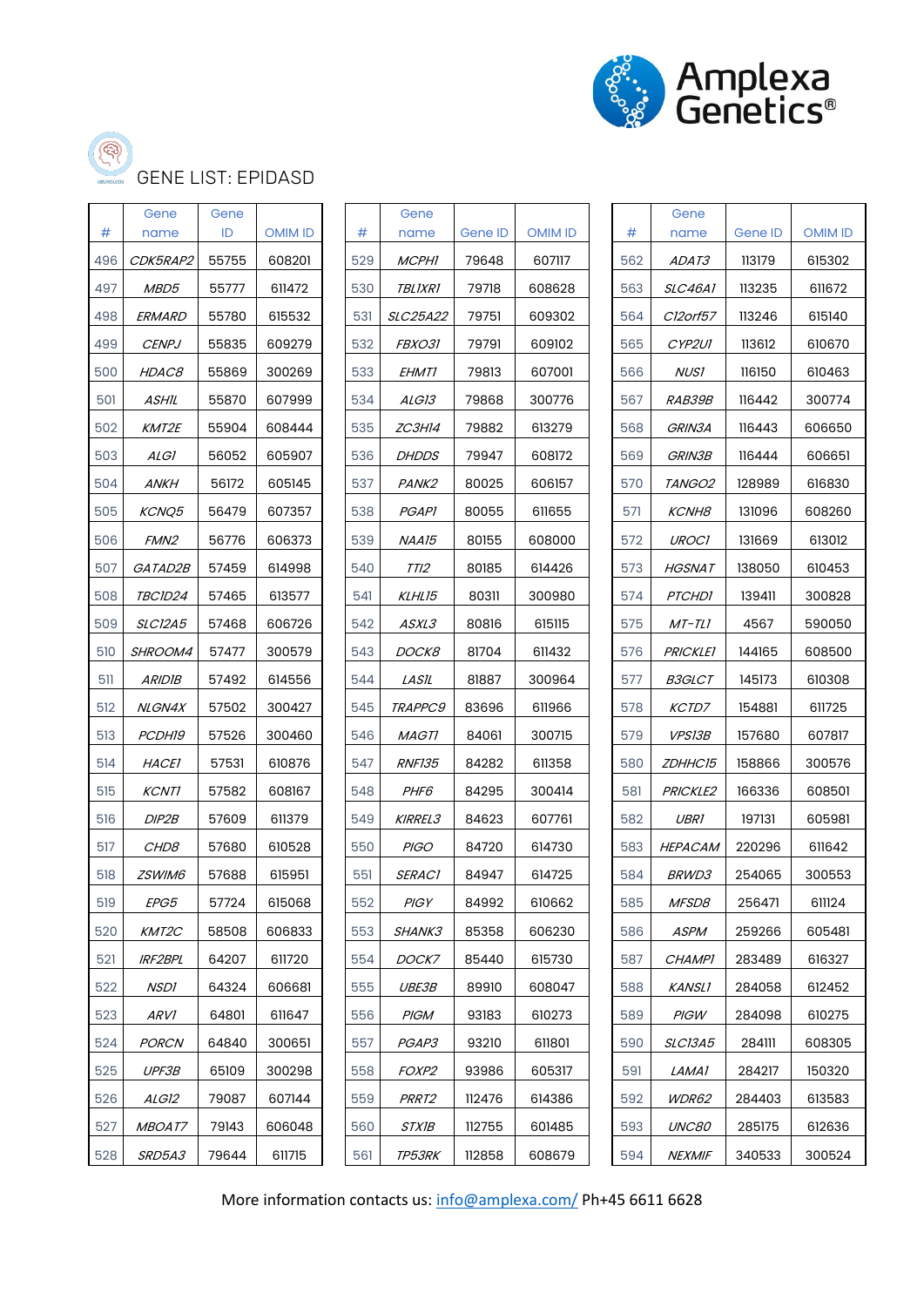

ශ

#### GENE LIST: EPIDASD

|     | Gene             | Gene  |                |     | Gene              |         |                |     | Gene            |         |                |
|-----|------------------|-------|----------------|-----|-------------------|---------|----------------|-----|-----------------|---------|----------------|
| #   | name             | ID    | <b>OMIM ID</b> | #   | name              | Gene ID | <b>OMIM ID</b> | #   | name            | Gene ID | <b>OMIM ID</b> |
| 496 | CDK5RAP2         | 55755 | 608201         | 529 | <b>MCPHI</b>      | 79648   | 607117         | 562 | <i>ADAT3</i>    | 113179  | 615302         |
| 497 | MBD5             | 55777 | 611472         | 530 | <b>TBLIXRI</b>    | 79718   | 608628         | 563 | SLC46A1         | 113235  | 611672         |
| 498 | ERMARD           | 55780 | 615532         | 531 | SLC25A22          | 79751   | 609302         | 564 | Cl2orf57        | 113246  | 615140         |
| 499 | <b>CENPJ</b>     | 55835 | 609279         | 532 | <i>FBXO31</i>     | 79791   | 609102         | 565 | CYP2UI          | 113612  | 610670         |
| 500 | HDAC8            | 55869 | 300269         | 533 | <b>EHMT1</b>      | 79813   | 607001         | 566 | <i>NUSI</i>     | 116150  | 610463         |
| 501 | ASHIL            | 55870 | 607999         | 534 | ALG13             | 79868   | 300776         | 567 | <i>RAB39B</i>   | 116442  | 300774         |
| 502 | <i>KMT2E</i>     | 55904 | 608444         | 535 | ZC3H14            | 79882   | 613279         | 568 | GRIN3A          | 116443  | 606650         |
| 503 | ALGI             | 56052 | 605907         | 536 | <b>DHDDS</b>      | 79947   | 608172         | 569 | GRIN3B          | 116444  | 606651         |
| 504 | <b>ANKH</b>      | 56172 | 605145         | 537 | PANK <sub>2</sub> | 80025   | 606157         | 570 | <i>TANGO2</i>   | 128989  | 616830         |
| 505 | KCNQ5            | 56479 | 607357         | 538 | <b>PGAPI</b>      | 80055   | 611655         | 571 | <b>KCNH8</b>    | 131096  | 608260         |
| 506 | FMN <sub>2</sub> | 56776 | 606373         | 539 | NAA15             | 80155   | 608000         | 572 | <b>UROCI</b>    | 131669  | 613012         |
| 507 | GATAD2B          | 57459 | 614998         | 540 | TTI2              | 80185   | 614426         | 573 | HGSNAT          | 138050  | 610453         |
| 508 | TBCID24          | 57465 | 613577         | 541 | KLHL15            | 80311   | 300980         | 574 | <b>PTCHDI</b>   | 139411  | 300828         |
| 509 | <i>SLC12A5</i>   | 57468 | 606726         | 542 | <i>ASXL3</i>      | 80816   | 615115         | 575 | MT-TLI          | 4567    | 590050         |
| 510 | SHROOM4          | 57477 | 300579         | 543 | <i>DOCK8</i>      | 81704   | 611432         | 576 | <b>PRICKLET</b> | 144165  | 608500         |
| 511 | <b>ARIDIB</b>    | 57492 | 614556         | 544 | LASIL             | 81887   | 300964         | 577 | <b>B3GLCT</b>   | 145173  | 610308         |
| 512 | <b>NLGN4X</b>    | 57502 | 300427         | 545 | <b>TRAPPC9</b>    | 83696   | 611966         | 578 | <i>KCTD7</i>    | 154881  | 611725         |
| 513 | <i>PCDH19</i>    | 57526 | 300460         | 546 | <i>MAGTI</i>      | 84061   | 300715         | 579 | <b>VPS13B</b>   | 157680  | 607817         |
| 514 | <i>HACEI</i>     | 57531 | 610876         | 547 | <b>RNF135</b>     | 84282   | 611358         | 580 | <i>ZDHHC15</i>  | 158866  | 300576         |
| 515 | <b>KCNTI</b>     | 57582 | 608167         | 548 | PHF6              | 84295   | 300414         | 581 | <b>PRICKLE2</b> | 166336  | 608501         |
| 516 | DIP2B            | 57609 | 611379         | 549 | <b>KIRREL3</b>    | 84623   | 607761         | 582 | <b>UBR1</b>     | 197131  | 605981         |
| 517 | <i>CHD8</i>      | 57680 | 610528         | 550 | <b>PIGO</b>       | 84720   | 614730         | 583 | HEPACAM         | 220296  | 611642         |
| 518 | ZSWIM6           | 57688 | 615951         | 551 | <b>SERAC1</b>     | 84947   | 614725         | 584 | <b>BRWD3</b>    | 254065  | 300553         |
| 519 | <i>EPG5</i>      | 57724 | 615068         | 552 | PIGY              | 84992   | 610662         | 585 | <i>MFSD8</i>    | 256471  | 611124         |
| 520 | KMT2C            | 58508 | 606833         | 553 | SHANK3            | 85358   | 606230         | 586 | <b>ASPM</b>     | 259266  | 605481         |
| 521 | <b>IRF2BPL</b>   | 64207 | 611720         | 554 | DOCK7             | 85440   | 615730         | 587 | <b>CHAMPI</b>   | 283489  | 616327         |
| 522 | <b>NSDI</b>      | 64324 | 606681         | 555 | <i>UBE3B</i>      | 89910   | 608047         | 588 | <b>KANSLI</b>   | 284058  | 612452         |
| 523 | ARV1             | 64801 | 611647         | 556 | <b>PIGM</b>       | 93183   | 610273         | 589 | PIGW            | 284098  | 610275         |
| 524 | <b>PORCN</b>     | 64840 | 300651         | 557 | PGAP3             | 93210   | 611801         | 590 | <b>SLC13A5</b>  | 284111  | 608305         |
| 525 | UPF3B            | 65109 | 300298         | 558 | FOXP <sub>2</sub> | 93986   | 605317         | 591 | LAMA1           | 284217  | 150320         |
| 526 | ALG12            | 79087 | 607144         | 559 | PRRT2             | 112476  | 614386         | 592 | WDR62           | 284403  | 613583         |
| 527 | <i>MBOAT7</i>    | 79143 | 606048         | 560 | <i>STX1B</i>      | 112755  | 601485         | 593 | UNC80           | 285175  | 612636         |
| 528 | SRD5A3           | 79644 | 611715         | 561 | TP53RK            | 112858  | 608679         | 594 | <b>NEXMIF</b>   | 340533  | 300524         |

| #   | Gene<br>name    | Gene ID | <b>OMIM ID</b> | #  |
|-----|-----------------|---------|----------------|----|
| 529 | <i>MCPHI</i>    | 79648   | 607117         | 56 |
| 530 | <i>TBLIXRI</i>  | 79718   | 608628         | 56 |
| 531 | <i>SLC25A22</i> | 79751   | 609302         | 56 |
| 532 | <i>FBXO31</i>   | 79791   | 609102         | 56 |
| 533 | EHMTI           | 79813   | 607001         | 56 |
| 534 | <i>ALG13</i>    | 79868   | 300776         | 56 |
| 535 | ZC3H14          | 79882   | 613279         | 56 |
| 536 | <i>DHDDS</i>    | 79947   | 608172         | 56 |
| 537 | <i>PANK2</i>    | 80025   | 606157         | 57 |
| 538 | <i>PGAPI</i>    | 80055   | 611655         | 57 |
| 539 | NAA15           | 80155   | 608000         | 57 |
| 540 | TTI2            | 80185   | 614426         | 57 |
| 541 | KLHL15          | 80311   | 300980         | 57 |
| 542 | <i>ASXL3</i>    | 80816   | 615115         | 57 |
| 543 | <i>DOCK8</i>    | 81704   | 611432         | 57 |
| 544 | <i>LASIL</i>    | 81887   | 300964         | 57 |
| 545 | <i>TRAPPC9</i>  | 83696   | 611966         | 57 |
| 546 | <i>MAGTI</i>    | 84061   | 300715         | 57 |
| 547 | <i>RNF135</i>   | 84282   | 611358         | 58 |
| 548 | <i>PHF6</i>     | 84295   | 300414         | 58 |
| 549 | <i>KIRREL3</i>  | 84623   | 607761         | 58 |
| 550 | <i>PIGO</i>     | 84720   | 614730         | 58 |
| 551 | <i>SERACI</i>   | 84947   | 614725         | 58 |
| 552 | PIGY            | 84992   | 610662         | 58 |
| 553 | <i>SHANK3</i>   | 85358   | 606230         | 58 |
| 554 | <i>DOCK7</i>    | 85440   | 615730         | 58 |
| 555 | <i>UBE3B</i>    | 89910   | 608047         | 58 |
| 556 | PIGM            | 93183   | 610273         | 58 |
| 557 | <i>PGAP3</i>    | 93210   | 611801         | 59 |
| 558 | <i>FOXP2</i>    | 93986   | 605317         | 59 |
| 559 | <i>PRRT2</i>    | 112476  | 614386         | 59 |
| 560 | <i>STXIB</i>    | 112755  | 601485         | 59 |
| 561 | <b>TP53PK</b>   | 112858  | 608679         | 59 |

|     | Gene            |         |                |
|-----|-----------------|---------|----------------|
| #   | name            | Gene ID | <b>OMIM ID</b> |
| 562 | <i>ADAT3</i>    | 113179  | 615302         |
| 563 | <i>SLC46A1</i>  | 113235  | 611672         |
| 564 | Cl2orf57        | 113246  | 615140         |
| 565 | <i>CYP2UI</i>   | 113612  | 610670         |
| 566 | <i>NUSI</i>     | 116150  | 610463         |
| 567 | <i>RAB39B</i>   | 116442  | 300774         |
| 568 | GRIN3A          | 116443  | 606650         |
| 569 | GRIN3B          | 116444  | 606651         |
| 570 | <i>TANGO2</i>   | 128989  | 616830         |
| 571 | <i>KCNH8</i>    | 131096  | 608260         |
| 572 | <i>UROCI</i>    | 131669  | 613012         |
| 573 | HGSNAT          | 138050  | 610453         |
| 574 | <i>PTCHDI</i>   | 139411  | 300828         |
| 575 | MT-TLI          | 4567    | 590050         |
| 576 | <i>PRICKLET</i> | 144165  | 608500         |
| 577 | <i>B3GLCT</i>   | 145173  | 610308         |
| 578 | <i>KCTD7</i>    | 154881  | 611725         |
| 579 | <i>VPS13B</i>   | 157680  | 607817         |
| 580 | <i>ZDHHC15</i>  | 158866  | 300576         |
| 581 | <i>PRICKLE2</i> | 166336  | 608501         |
| 582 | UBRI            | 197131  | 605981         |
| 583 | HEPACAM         | 220296  | 611642         |
| 584 | <i>BRWD3</i>    | 254065  | 300553         |
| 585 | <i>MFSD8</i>    | 256471  | 611124         |
| 586 | ASPM            | 259266  | 605481         |
| 587 | <i>CHAMPI</i>   | 283489  | 616327         |
| 588 | KANSLI          | 284058  | 612452         |
| 589 | PIGW            | 284098  | 610275         |
| 590 | <i>SLC13A5</i>  | 284111  | 608305         |
| 591 | LAMA1           | 284217  | 150320         |
| 592 | <i>WDR62</i>    | 284403  | 613583         |
| 593 | <i>UNC80</i>    | 285175  | 612636         |
| 594 | <i>NEXMIF</i>   | 340533  | 300524         |